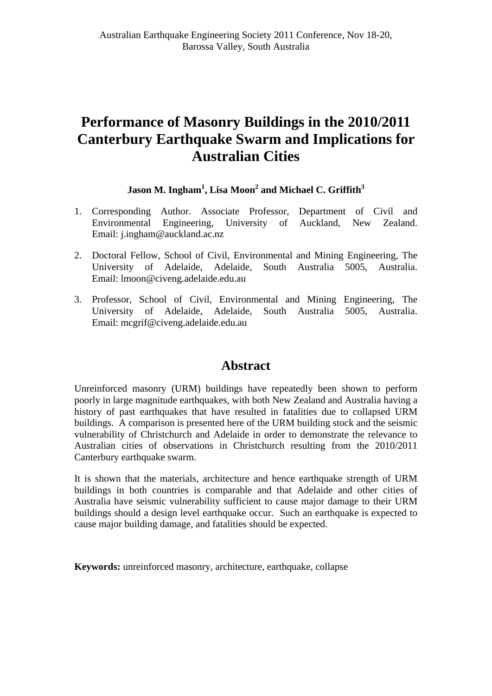# **Performance of Masonry Buildings in the 2010/2011 Canterbury Earthquake Swarm and Implications for Australian Cities**

# $Jason M. Ingham<sup>1</sup>, Lisa Moon<sup>2</sup> and Michael C. Griffith<sup>3</sup>$

- 1. Corresponding Author. Associate Professor, Department of Civil and Environmental Engineering, University of Auckland, New Zealand. Email: j.ingham@auckland.ac.nz
- 2. Doctoral Fellow, School of Civil, Environmental and Mining Engineering, The University of Adelaide, Adelaide, South Australia 5005, Australia. Email: lmoon@civeng.adelaide.edu.au
- 3. Professor, School of Civil, Environmental and Mining Engineering, The University of Adelaide, Adelaide, South Australia 5005, Australia. Email: mcgrif@civeng.adelaide.edu.au

# **Abstract**

Unreinforced masonry (URM) buildings have repeatedly been shown to perform poorly in large magnitude earthquakes, with both New Zealand and Australia having a history of past earthquakes that have resulted in fatalities due to collapsed URM buildings. A comparison is presented here of the URM building stock and the seismic vulnerability of Christchurch and Adelaide in order to demonstrate the relevance to Australian cities of observations in Christchurch resulting from the 2010/2011 Canterbury earthquake swarm.

It is shown that the materials, architecture and hence earthquake strength of URM buildings in both countries is comparable and that Adelaide and other cities of Australia have seismic vulnerability sufficient to cause major damage to their URM buildings should a design level earthquake occur. Such an earthquake is expected to cause major building damage, and fatalities should be expected.

**Keywords:** unreinforced masonry, architecture, earthquake, collapse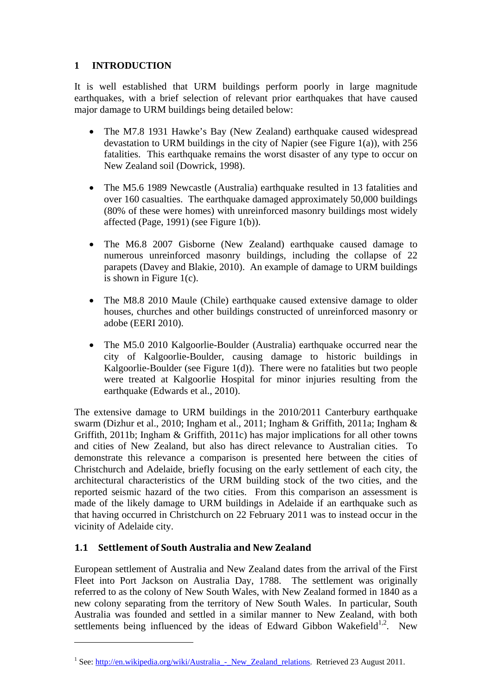## **1 INTRODUCTION**

It is well established that URM buildings perform poorly in large magnitude earthquakes, with a brief selection of relevant prior earthquakes that have caused major damage to URM buildings being detailed below:

- The M7.8 1931 Hawke's Bay (New Zealand) earthquake caused widespread devastation to URM buildings in the city of Napier (see Figure 1(a)), with 256 fatalities. This earthquake remains the worst disaster of any type to occur on New Zealand soil (Dowrick, 1998).
- The M5.6 1989 Newcastle (Australia) earthquake resulted in 13 fatalities and over 160 casualties. The earthquake damaged approximately 50,000 buildings (80% of these were homes) with unreinforced masonry buildings most widely affected (Page, 1991) (see Figure 1(b)).
- The M6.8 2007 Gisborne (New Zealand) earthquake caused damage to numerous unreinforced masonry buildings, including the collapse of 22 parapets (Davey and Blakie, 2010). An example of damage to URM buildings is shown in Figure 1(c).
- The M8.8 2010 Maule (Chile) earthquake caused extensive damage to older houses, churches and other buildings constructed of unreinforced masonry or adobe (EERI 2010).
- The M5.0 2010 Kalgoorlie-Boulder (Australia) earthquake occurred near the city of Kalgoorlie-Boulder, causing damage to historic buildings in Kalgoorlie-Boulder (see Figure 1(d)). There were no fatalities but two people were treated at Kalgoorlie Hospital for minor injuries resulting from the earthquake (Edwards et al., 2010).

The extensive damage to URM buildings in the 2010/2011 Canterbury earthquake swarm (Dizhur et al., 2010; Ingham et al., 2011; Ingham & Griffith, 2011a; Ingham & Griffith, 2011b; Ingham & Griffith, 2011c) has major implications for all other towns and cities of New Zealand, but also has direct relevance to Australian cities. To demonstrate this relevance a comparison is presented here between the cities of Christchurch and Adelaide, briefly focusing on the early settlement of each city, the architectural characteristics of the URM building stock of the two cities, and the reported seismic hazard of the two cities. From this comparison an assessment is made of the likely damage to URM buildings in Adelaide if an earthquake such as that having occurred in Christchurch on 22 February 2011 was to instead occur in the vicinity of Adelaide city.

## **1.1 Settlement of South Australia and New Zealand**

1

European settlement of Australia and New Zealand dates from the arrival of the First Fleet into Port Jackson on Australia Day, 1788. The settlement was originally referred to as the colony of New South Wales, with New Zealand formed in 1840 as a new colony separating from the territory of New South Wales. In particular, South Australia was founded and settled in a similar manner to New Zealand, with both settlements being influenced by the ideas of Edward Gibbon Wakefield<sup>1,2</sup>. New

<sup>&</sup>lt;sup>1</sup> See: http://en.wikipedia.org/wiki/Australia - New Zealand relations. Retrieved 23 August 2011.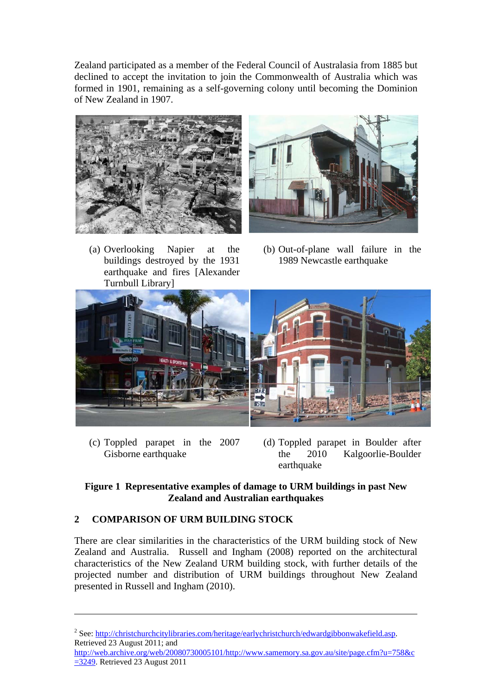Zealand participated as a member of the Federal Council of Australasia from 1885 but declined to accept the invitation to join the Commonwealth of Australia which was formed in 1901, remaining as a self-governing colony until becoming the Dominion of New Zealand in 1907.



(a) Overlooking Napier at the buildings destroyed by the 1931 earthquake and fires [Alexander Turnbull Library]



(b) Out-of-plane wall failure in the 1989 Newcastle earthquake



(c) Toppled parapet in the 2007 Gisborne earthquake

1

(d) Toppled parapet in Boulder after the 2010 Kalgoorlie-Boulder earthquake

#### **Figure 1 Representative examples of damage to URM buildings in past New Zealand and Australian earthquakes**

# **2 COMPARISON OF URM BUILDING STOCK**

There are clear similarities in the characteristics of the URM building stock of New Zealand and Australia. Russell and Ingham (2008) reported on the architectural characteristics of the New Zealand URM building stock, with further details of the projected number and distribution of URM buildings throughout New Zealand presented in Russell and Ingham (2010).

http://web.archive.org/web/20080730005101/http://www.samemory.sa.gov.au/site/page.cfm?u=758&c =3249. Retrieved 23 August 2011

<sup>&</sup>lt;sup>2</sup> See: http://christchurchcitylibraries.com/heritage/earlychristchurch/edwardgibbonwakefield.asp. Retrieved 23 August 2011; and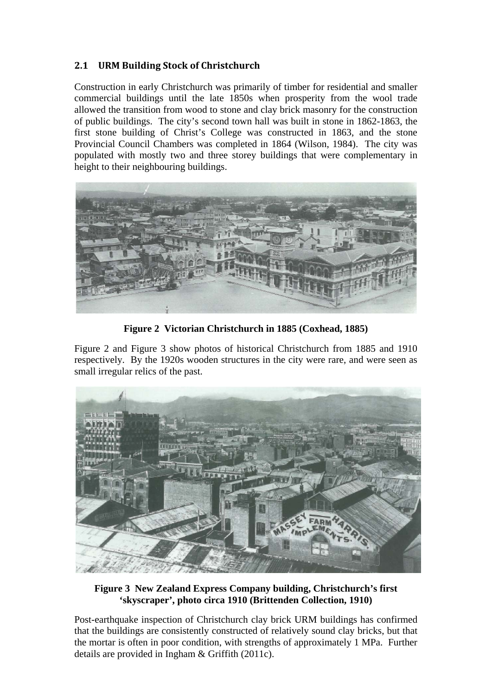# **2.1 URM Building Stock of Christchurch**

Construction in early Christchurch was primarily of timber for residential and smaller commercial buildings until the late 1850s when prosperity from the wool trade allowed the transition from wood to stone and clay brick masonry for the construction of public buildings. The city's second town hall was built in stone in 1862-1863, the first stone building of Christ's College was constructed in 1863, and the stone Provincial Council Chambers was completed in 1864 (Wilson, 1984). The city was populated with mostly two and three storey buildings that were complementary in height to their neighbouring buildings.



**Figure 2 Victorian Christchurch in 1885 (Coxhead, 1885)** 

Figure 2 and Figure 3 show photos of historical Christchurch from 1885 and 1910 respectively. By the 1920s wooden structures in the city were rare, and were seen as small irregular relics of the past.



**Figure 3 New Zealand Express Company building, Christchurch's first 'skyscraper', photo circa 1910 (Brittenden Collection, 1910)** 

Post-earthquake inspection of Christchurch clay brick URM buildings has confirmed that the buildings are consistently constructed of relatively sound clay bricks, but that the mortar is often in poor condition, with strengths of approximately 1 MPa. Further details are provided in Ingham & Griffith (2011c).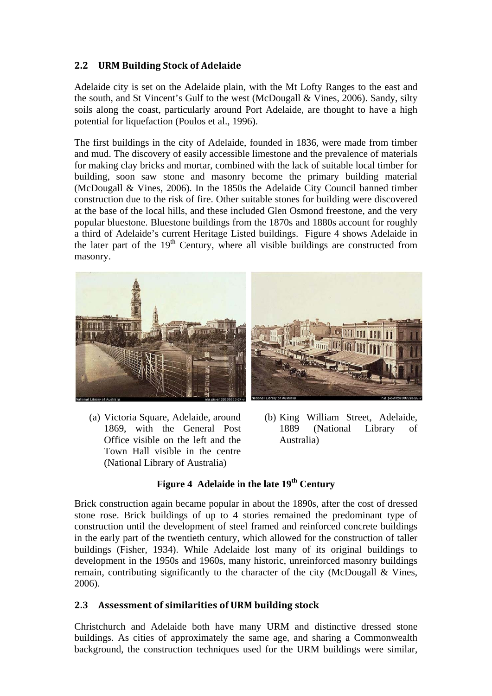# **2.2 URM Building Stock of Adelaide**

Adelaide city is set on the Adelaide plain, with the Mt Lofty Ranges to the east and the south, and St Vincent's Gulf to the west (McDougall & Vines, 2006). Sandy, silty soils along the coast, particularly around Port Adelaide, are thought to have a high potential for liquefaction (Poulos et al., 1996).

The first buildings in the city of Adelaide, founded in 1836, were made from timber and mud. The discovery of easily accessible limestone and the prevalence of materials for making clay bricks and mortar, combined with the lack of suitable local timber for building, soon saw stone and masonry become the primary building material (McDougall & Vines, 2006). In the 1850s the Adelaide City Council banned timber construction due to the risk of fire. Other suitable stones for building were discovered at the base of the local hills, and these included Glen Osmond freestone, and the very popular bluestone. Bluestone buildings from the 1870s and 1880s account for roughly a third of Adelaide's current Heritage Listed buildings. Figure 4 shows Adelaide in the later part of the  $19<sup>th</sup>$  Century, where all visible buildings are constructed from masonry.



- (a) Victoria Square, Adelaide, around 1869, with the General Post Office visible on the left and the Town Hall visible in the centre (National Library of Australia)
- (b) King William Street, Adelaide, 1889 (National Library of Australia)

#### Figure 4 Adelaide in the late 19<sup>th</sup> Century

Brick construction again became popular in about the 1890s, after the cost of dressed stone rose. Brick buildings of up to 4 stories remained the predominant type of construction until the development of steel framed and reinforced concrete buildings in the early part of the twentieth century, which allowed for the construction of taller buildings (Fisher, 1934). While Adelaide lost many of its original buildings to development in the 1950s and 1960s, many historic, unreinforced masonry buildings remain, contributing significantly to the character of the city (McDougall & Vines, 2006).

## **2.3 Assessment of similarities of URM building stock**

Christchurch and Adelaide both have many URM and distinctive dressed stone buildings. As cities of approximately the same age, and sharing a Commonwealth background, the construction techniques used for the URM buildings were similar,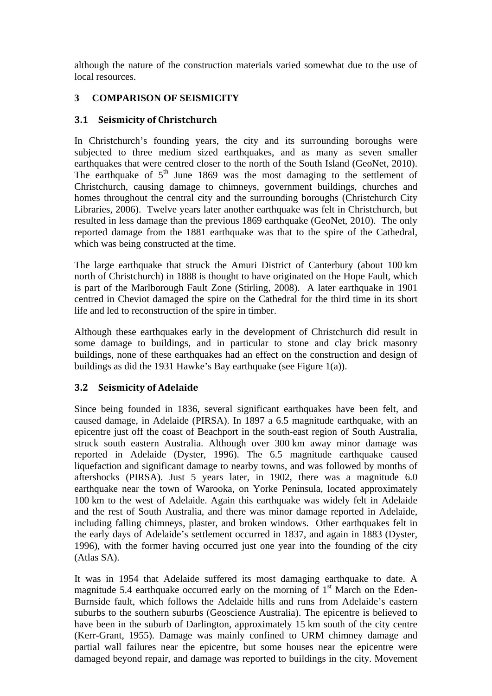although the nature of the construction materials varied somewhat due to the use of local resources.

#### **3 COMPARISON OF SEISMICITY**

#### **3.1 Seismicity of Christchurch**

In Christchurch's founding years, the city and its surrounding boroughs were subjected to three medium sized earthquakes, and as many as seven smaller earthquakes that were centred closer to the north of the South Island (GeoNet, 2010). The earthquake of  $5<sup>th</sup>$  June 1869 was the most damaging to the settlement of Christchurch, causing damage to chimneys, government buildings, churches and homes throughout the central city and the surrounding boroughs (Christchurch City Libraries, 2006). Twelve years later another earthquake was felt in Christchurch, but resulted in less damage than the previous 1869 earthquake (GeoNet, 2010). The only reported damage from the 1881 earthquake was that to the spire of the Cathedral, which was being constructed at the time.

The large earthquake that struck the Amuri District of Canterbury (about 100 km north of Christchurch) in 1888 is thought to have originated on the Hope Fault, which is part of the Marlborough Fault Zone (Stirling, 2008). A later earthquake in 1901 centred in Cheviot damaged the spire on the Cathedral for the third time in its short life and led to reconstruction of the spire in timber.

Although these earthquakes early in the development of Christchurch did result in some damage to buildings, and in particular to stone and clay brick masonry buildings, none of these earthquakes had an effect on the construction and design of buildings as did the 1931 Hawke's Bay earthquake (see Figure 1(a)).

#### **3.2 Seismicity of Adelaide**

Since being founded in 1836, several significant earthquakes have been felt, and caused damage, in Adelaide (PIRSA). In 1897 a 6.5 magnitude earthquake, with an epicentre just off the coast of Beachport in the south-east region of South Australia, struck south eastern Australia. Although over 300 km away minor damage was reported in Adelaide (Dyster, 1996). The 6.5 magnitude earthquake caused liquefaction and significant damage to nearby towns, and was followed by months of aftershocks (PIRSA). Just 5 years later, in 1902, there was a magnitude 6.0 earthquake near the town of Warooka, on Yorke Peninsula, located approximately 100 km to the west of Adelaide. Again this earthquake was widely felt in Adelaide and the rest of South Australia, and there was minor damage reported in Adelaide, including falling chimneys, plaster, and broken windows. Other earthquakes felt in the early days of Adelaide's settlement occurred in 1837, and again in 1883 (Dyster, 1996), with the former having occurred just one year into the founding of the city (Atlas SA).

It was in 1954 that Adelaide suffered its most damaging earthquake to date. A magnitude 5.4 earthquake occurred early on the morning of  $1<sup>st</sup>$  March on the Eden-Burnside fault, which follows the Adelaide hills and runs from Adelaide's eastern suburbs to the southern suburbs (Geoscience Australia). The epicentre is believed to have been in the suburb of Darlington, approximately 15 km south of the city centre (Kerr-Grant, 1955). Damage was mainly confined to URM chimney damage and partial wall failures near the epicentre, but some houses near the epicentre were damaged beyond repair, and damage was reported to buildings in the city. Movement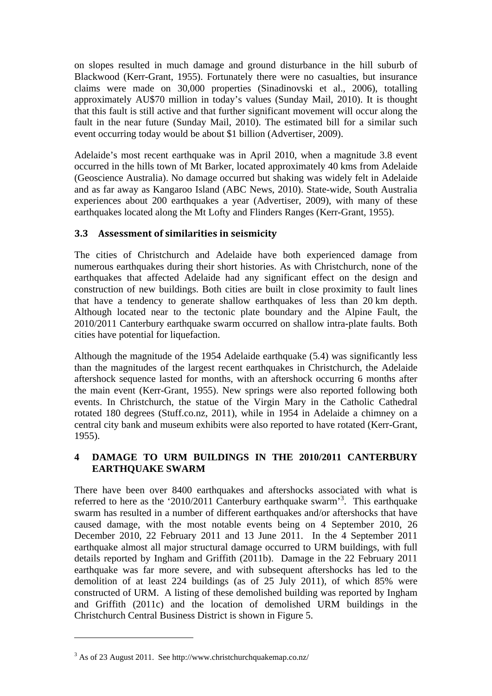on slopes resulted in much damage and ground disturbance in the hill suburb of Blackwood (Kerr-Grant, 1955). Fortunately there were no casualties, but insurance claims were made on 30,000 properties (Sinadinovski et al., 2006), totalling approximately AU\$70 million in today's values (Sunday Mail, 2010). It is thought that this fault is still active and that further significant movement will occur along the fault in the near future (Sunday Mail, 2010). The estimated bill for a similar such event occurring today would be about \$1 billion (Advertiser, 2009).

Adelaide's most recent earthquake was in April 2010, when a magnitude 3.8 event occurred in the hills town of Mt Barker, located approximately 40 kms from Adelaide (Geoscience Australia). No damage occurred but shaking was widely felt in Adelaide and as far away as Kangaroo Island (ABC News, 2010). State-wide, South Australia experiences about 200 earthquakes a year (Advertiser, 2009), with many of these earthquakes located along the Mt Lofty and Flinders Ranges (Kerr-Grant, 1955).

#### **3.3 Assessment of similarities in seismicity**

The cities of Christchurch and Adelaide have both experienced damage from numerous earthquakes during their short histories. As with Christchurch, none of the earthquakes that affected Adelaide had any significant effect on the design and construction of new buildings. Both cities are built in close proximity to fault lines that have a tendency to generate shallow earthquakes of less than 20 km depth. Although located near to the tectonic plate boundary and the Alpine Fault, the 2010/2011 Canterbury earthquake swarm occurred on shallow intra-plate faults. Both cities have potential for liquefaction.

Although the magnitude of the 1954 Adelaide earthquake (5.4) was significantly less than the magnitudes of the largest recent earthquakes in Christchurch, the Adelaide aftershock sequence lasted for months, with an aftershock occurring 6 months after the main event (Kerr-Grant, 1955). New springs were also reported following both events. In Christchurch, the statue of the Virgin Mary in the Catholic Cathedral rotated 180 degrees (Stuff.co.nz, 2011), while in 1954 in Adelaide a chimney on a central city bank and museum exhibits were also reported to have rotated (Kerr-Grant, 1955).

#### **4 DAMAGE TO URM BUILDINGS IN THE 2010/2011 CANTERBURY EARTHQUAKE SWARM**

There have been over 8400 earthquakes and aftershocks associated with what is referred to here as the '2010/2011 Canterbury earthquake swarm'<sup>3</sup>. This earthquake swarm has resulted in a number of different earthquakes and/or aftershocks that have caused damage, with the most notable events being on 4 September 2010, 26 December 2010, 22 February 2011 and 13 June 2011. In the 4 September 2011 earthquake almost all major structural damage occurred to URM buildings, with full details reported by Ingham and Griffith (2011b). Damage in the 22 February 2011 earthquake was far more severe, and with subsequent aftershocks has led to the demolition of at least 224 buildings (as of 25 July 2011), of which 85% were constructed of URM. A listing of these demolished building was reported by Ingham and Griffith (2011c) and the location of demolished URM buildings in the Christchurch Central Business District is shown in Figure 5.

<u>.</u>

 $3$  As of 23 August 2011. See http://www.christchurchquakemap.co.nz/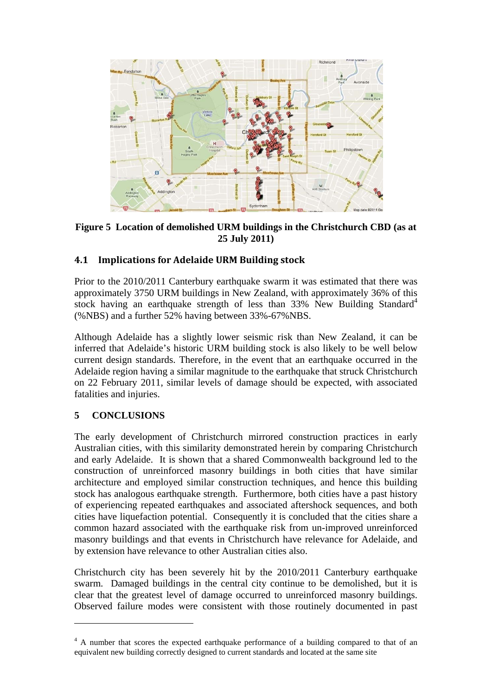

**Figure 5 Location of demolished URM buildings in the Christchurch CBD (as at 25 July 2011)** 

## **4.1 Implications for Adelaide URM Building stock**

Prior to the 2010/2011 Canterbury earthquake swarm it was estimated that there was approximately 3750 URM buildings in New Zealand, with approximately 36% of this stock having an earthquake strength of less than  $33\%$  New Building Standard<sup>4</sup> (%NBS) and a further 52% having between 33%-67%NBS.

Although Adelaide has a slightly lower seismic risk than New Zealand, it can be inferred that Adelaide's historic URM building stock is also likely to be well below current design standards. Therefore, in the event that an earthquake occurred in the Adelaide region having a similar magnitude to the earthquake that struck Christchurch on 22 February 2011, similar levels of damage should be expected, with associated fatalities and injuries.

#### **5 CONCLUSIONS**

1

The early development of Christchurch mirrored construction practices in early Australian cities, with this similarity demonstrated herein by comparing Christchurch and early Adelaide. It is shown that a shared Commonwealth background led to the construction of unreinforced masonry buildings in both cities that have similar architecture and employed similar construction techniques, and hence this building stock has analogous earthquake strength. Furthermore, both cities have a past history of experiencing repeated earthquakes and associated aftershock sequences, and both cities have liquefaction potential. Consequently it is concluded that the cities share a common hazard associated with the earthquake risk from un-improved unreinforced masonry buildings and that events in Christchurch have relevance for Adelaide, and by extension have relevance to other Australian cities also.

Christchurch city has been severely hit by the 2010/2011 Canterbury earthquake swarm. Damaged buildings in the central city continue to be demolished, but it is clear that the greatest level of damage occurred to unreinforced masonry buildings. Observed failure modes were consistent with those routinely documented in past

<sup>&</sup>lt;sup>4</sup> A number that scores the expected earthquake performance of a building compared to that of an equivalent new building correctly designed to current standards and located at the same site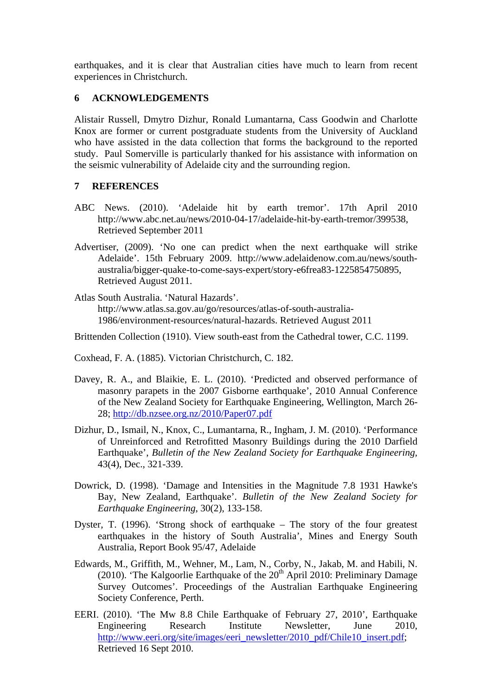earthquakes, and it is clear that Australian cities have much to learn from recent experiences in Christchurch.

#### **6 ACKNOWLEDGEMENTS**

Alistair Russell, Dmytro Dizhur, Ronald Lumantarna, Cass Goodwin and Charlotte Knox are former or current postgraduate students from the University of Auckland who have assisted in the data collection that forms the background to the reported study. Paul Somerville is particularly thanked for his assistance with information on the seismic vulnerability of Adelaide city and the surrounding region.

#### **7 REFERENCES**

- ABC News. (2010). 'Adelaide hit by earth tremor'. 17th April 2010 http://www.abc.net.au/news/2010-04-17/adelaide-hit-by-earth-tremor/399538, Retrieved September 2011
- Advertiser, (2009). 'No one can predict when the next earthquake will strike Adelaide'. 15th February 2009. http://www.adelaidenow.com.au/news/southaustralia/bigger-quake-to-come-says-expert/story-e6frea83-1225854750895, Retrieved August 2011.
- Atlas South Australia. 'Natural Hazards'. http://www.atlas.sa.gov.au/go/resources/atlas-of-south-australia-1986/environment-resources/natural-hazards. Retrieved August 2011
- Brittenden Collection (1910). View south-east from the Cathedral tower, C.C. 1199.
- Coxhead, F. A. (1885). Victorian Christchurch, C. 182.
- Davey, R. A., and Blaikie, E. L. (2010). 'Predicted and observed performance of masonry parapets in the 2007 Gisborne earthquake', 2010 Annual Conference of the New Zealand Society for Earthquake Engineering, Wellington, March 26- 28; http://db.nzsee.org.nz/2010/Paper07.pdf
- Dizhur, D., Ismail, N., Knox, C., Lumantarna, R., Ingham, J. M. (2010). 'Performance of Unreinforced and Retrofitted Masonry Buildings during the 2010 Darfield Earthquake', *Bulletin of the New Zealand Society for Earthquake Engineering,*  43(4), Dec., 321-339.
- Dowrick, D. (1998). 'Damage and Intensities in the Magnitude 7.8 1931 Hawke's Bay, New Zealand, Earthquake'. *Bulletin of the New Zealand Society for Earthquake Engineering*, 30(2), 133-158.
- Dyster, T. (1996). 'Strong shock of earthquake The story of the four greatest earthquakes in the history of South Australia', Mines and Energy South Australia, Report Book 95/47, Adelaide
- Edwards, M., Griffith, M., Wehner, M., Lam, N., Corby, N., Jakab, M. and Habili, N. (2010). 'The Kalgoorlie Earthquake of the  $20<sup>th</sup>$  April 2010: Preliminary Damage Survey Outcomes'. Proceedings of the Australian Earthquake Engineering Society Conference, Perth.
- EERI. (2010). 'The Mw 8.8 Chile Earthquake of February 27, 2010', Earthquake Engineering Research Institute Newsletter, June 2010, http://www.eeri.org/site/images/eeri\_newsletter/2010\_pdf/Chile10\_insert.pdf; Retrieved 16 Sept 2010.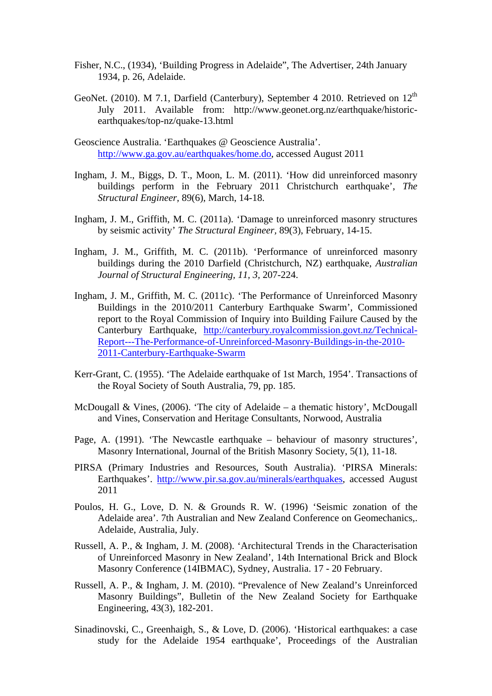- Fisher, N.C., (1934), 'Building Progress in Adelaide", The Advertiser, 24th January 1934, p. 26, Adelaide.
- GeoNet. (2010). M 7.1, Darfield (Canterbury), September 4 2010. Retrieved on  $12<sup>th</sup>$ July 2011. Available from: http://www.geonet.org.nz/earthquake/historicearthquakes/top-nz/quake-13.html
- Geoscience Australia. 'Earthquakes @ Geoscience Australia'. http://www.ga.gov.au/earthquakes/home.do, accessed August 2011
- Ingham, J. M., Biggs, D. T., Moon, L. M. (2011). 'How did unreinforced masonry buildings perform in the February 2011 Christchurch earthquake', *The Structural Engineer,* 89(6), March, 14-18.
- Ingham, J. M., Griffith, M. C. (2011a). 'Damage to unreinforced masonry structures by seismic activity' *The Structural Engineer,* 89(3), February, 14-15.
- Ingham, J. M., Griffith, M. C. (2011b). 'Performance of unreinforced masonry buildings during the 2010 Darfield (Christchurch, NZ) earthquake, *Australian Journal of Structural Engineering, 11, 3,* 207-224.
- Ingham, J. M., Griffith, M. C. (2011c). 'The Performance of Unreinforced Masonry Buildings in the 2010/2011 Canterbury Earthquake Swarm', Commissioned report to the Royal Commission of Inquiry into Building Failure Caused by the Canterbury Earthquake, http://canterbury.royalcommission.govt.nz/Technical-Report---The-Performance-of-Unreinforced-Masonry-Buildings-in-the-2010- 2011-Canterbury-Earthquake-Swarm
- Kerr-Grant, C. (1955). 'The Adelaide earthquake of 1st March, 1954'. Transactions of the Royal Society of South Australia, 79, pp. 185.
- McDougall & Vines, (2006). 'The city of Adelaide a thematic history', McDougall and Vines, Conservation and Heritage Consultants, Norwood, Australia
- Page, A. (1991). 'The Newcastle earthquake behaviour of masonry structures', Masonry International, Journal of the British Masonry Society, 5(1), 11-18.
- PIRSA (Primary Industries and Resources, South Australia). 'PIRSA Minerals: Earthquakes'. http://www.pir.sa.gov.au/minerals/earthquakes, accessed August 2011
- Poulos, H. G., Love, D. N. & Grounds R. W. (1996) 'Seismic zonation of the Adelaide area'. 7th Australian and New Zealand Conference on Geomechanics,. Adelaide, Australia, July.
- Russell, A. P., & Ingham, J. M. (2008). 'Architectural Trends in the Characterisation of Unreinforced Masonry in New Zealand', 14th International Brick and Block Masonry Conference (14IBMAC), Sydney, Australia. 17 - 20 February.
- Russell, A. P., & Ingham, J. M. (2010). "Prevalence of New Zealand's Unreinforced Masonry Buildings", Bulletin of the New Zealand Society for Earthquake Engineering, 43(3), 182-201.
- Sinadinovski, C., Greenhaigh, S., & Love, D. (2006). 'Historical earthquakes: a case study for the Adelaide 1954 earthquake', Proceedings of the Australian